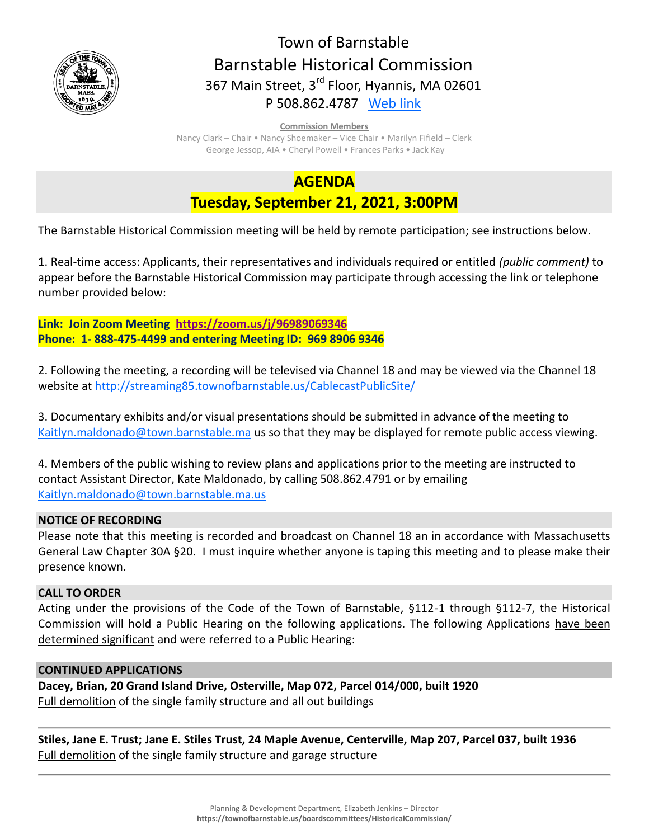

# Town of Barnstable Barnstable Historical Commission 367 Main Street, 3<sup>rd</sup> Floor, Hyannis, MA 02601 P 508.862.4787 [Web link](https://tobweb.town.barnstable.ma.us/boardscommittees/HistoricalCommission/default.asp?brd=Historical+Commission&year=2021)

#### **Commission Members**

Nancy Clark – Chair • Nancy Shoemaker – Vice Chair • Marilyn Fifield – Clerk George Jessop, AIA • Cheryl Powell • Frances Parks • Jack Kay

## **AGENDA**

## **Tuesday, September 21, 2021, 3:00PM**

The Barnstable Historical Commission meeting will be held by remote participation; see instructions below.

1. Real-time access: Applicants, their representatives and individuals required or entitled *(public comment)* to appear before the Barnstable Historical Commission may participate through accessing the link or telephone number provided below:

**Link: Join Zoom Meeting <https://zoom.us/j/96989069346> Phone: 1- 888-475-4499 and entering Meeting ID: 969 8906 9346**

2. Following the meeting, a recording will be televised via Channel 18 and may be viewed via the Channel 18 website at<http://streaming85.townofbarnstable.us/CablecastPublicSite/>

3. Documentary exhibits and/or visual presentations should be submitted in advance of the meeting to [Kaitlyn.maldonado@town.barnstable.ma](mailto:Kaitlyn.maldonado@town.barnstable.ma) us so that they may be displayed for remote public access viewing.

4. Members of the public wishing to review plans and applications prior to the meeting are instructed to contact Assistant Director, Kate Maldonado, by calling 508.862.4791 or by emailing [Kaitlyn.maldonado@town.barnstable.ma.us](mailto:Kaitlyn.maldonado@town.barnstable.ma.us)

## **NOTICE OF RECORDING**

Please note that this meeting is recorded and broadcast on Channel 18 an in accordance with Massachusetts General Law Chapter 30A §20. I must inquire whether anyone is taping this meeting and to please make their presence known.

## **CALL TO ORDER**

Acting under the provisions of the Code of the Town of Barnstable, §112-1 through §112-7, the Historical Commission will hold a Public Hearing on the following applications. The following Applications have been determined significant and were referred to a Public Hearing:

## **CONTINUED APPLICATIONS**

**Dacey, Brian, 20 Grand Island Drive, Osterville, Map 072, Parcel 014/000, built 1920** Full demolition of the single family structure and all out buildings

**Stiles, Jane E. Trust; Jane E. Stiles Trust, 24 Maple Avenue, Centerville, Map 207, Parcel 037, built 1936** Full demolition of the single family structure and garage structure